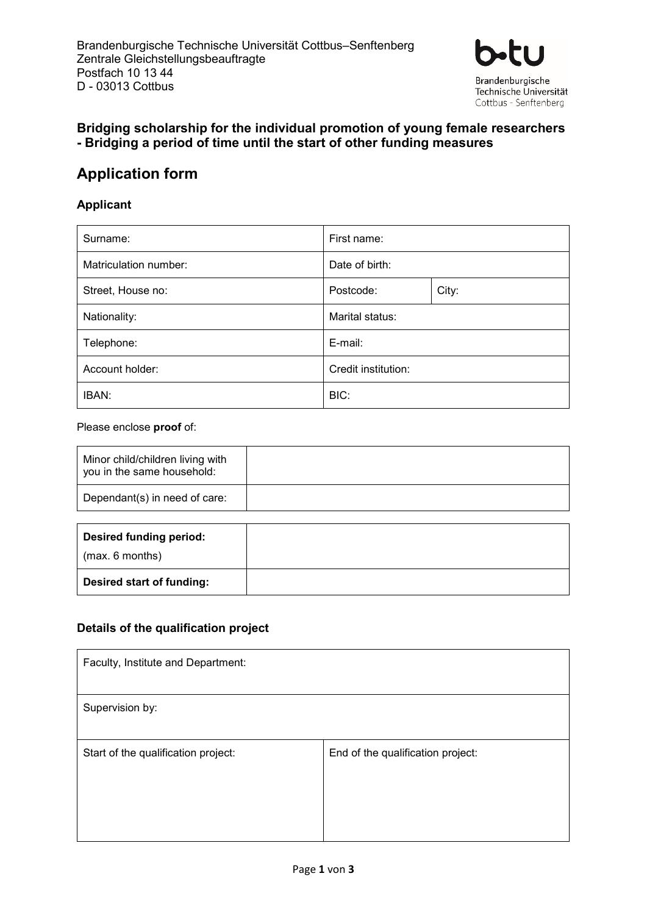

# **Bridging scholarship for the individual promotion of young female researchers - Bridging a period of time until the start of other funding measures**

# **Application form**

## **Applicant**

| Surname:              | First name:         |       |
|-----------------------|---------------------|-------|
| Matriculation number: | Date of birth:      |       |
| Street, House no:     | Postcode:           | City: |
| Nationality:          | Marital status:     |       |
| Telephone:            | E-mail:             |       |
| Account holder:       | Credit institution: |       |
| IBAN:                 | BIC:                |       |

### Please enclose **proof** of:

| Minor child/children living with<br>you in the same household: |  |
|----------------------------------------------------------------|--|
| Dependant(s) in need of care:                                  |  |

| Desired funding period:   |  |
|---------------------------|--|
| (max. 6 months)           |  |
| Desired start of funding: |  |

## **Details of the qualification project**

| Faculty, Institute and Department:  |                                   |
|-------------------------------------|-----------------------------------|
| Supervision by:                     |                                   |
| Start of the qualification project: | End of the qualification project: |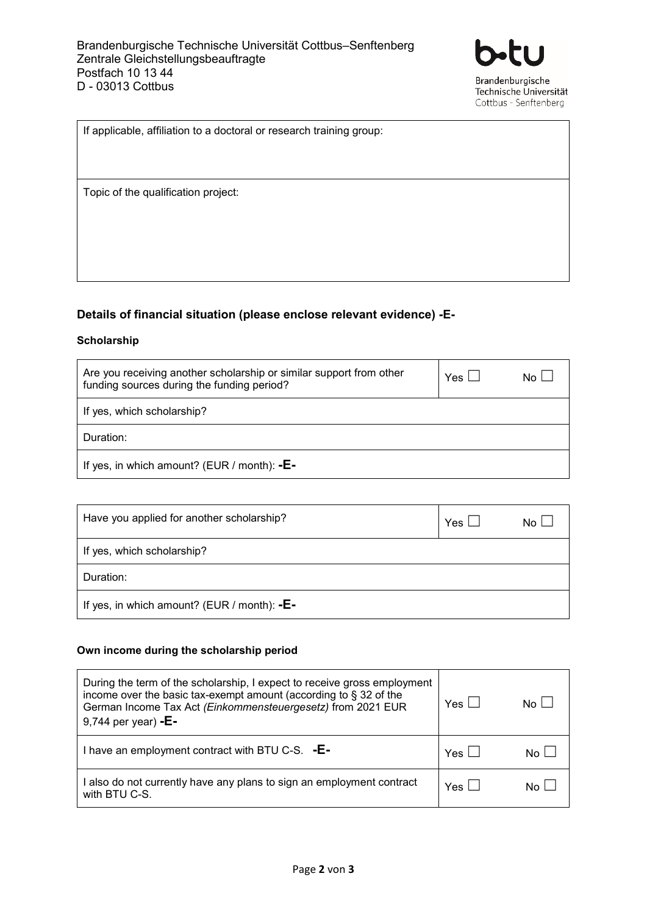

| If applicable, affiliation to a doctoral or research training group: |
|----------------------------------------------------------------------|
|                                                                      |
|                                                                      |
| Topic of the qualification project:                                  |
|                                                                      |
|                                                                      |
|                                                                      |
|                                                                      |

### **Details of financial situation (please enclose relevant evidence) -E-**

### **Scholarship**

| Are you receiving another scholarship or similar support from other<br>funding sources during the funding period? | Yes $\Box$ | No L |
|-------------------------------------------------------------------------------------------------------------------|------------|------|
| If yes, which scholarship?                                                                                        |            |      |
| Duration:                                                                                                         |            |      |
| If yes, in which amount? (EUR / month): $-E-$                                                                     |            |      |

| Have you applied for another scholarship?     | Yes | No L |
|-----------------------------------------------|-----|------|
| If yes, which scholarship?                    |     |      |
| Duration:                                     |     |      |
| If yes, in which amount? (EUR / month): $-E-$ |     |      |

### **Own income during the scholarship period**

| During the term of the scholarship, I expect to receive gross employment<br>income over the basic tax-exempt amount (according to $\S$ 32 of the<br>German Income Tax Act (Einkommensteuergesetz) from 2021 EUR<br>9,744 per year) - $E -$ | $Yes \mid \mid$ | $N \cap$ |
|--------------------------------------------------------------------------------------------------------------------------------------------------------------------------------------------------------------------------------------------|-----------------|----------|
| I have an employment contract with BTU C-S. - E-                                                                                                                                                                                           | Yes $ $         |          |
| I also do not currently have any plans to sign an employment contract<br>with BTU C-S.                                                                                                                                                     | Yes $\vert$     |          |